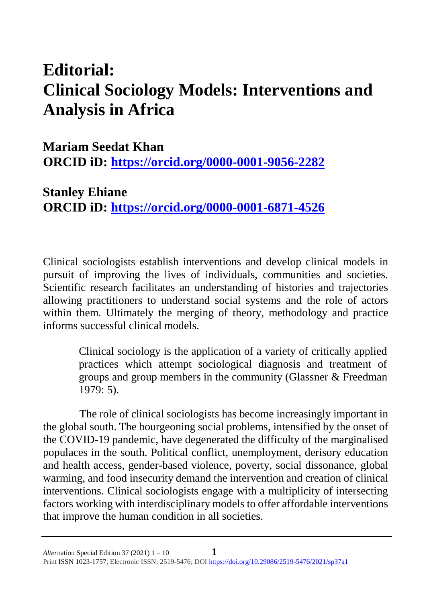## **Editorial: Clinical Sociology Models: Interventions and Analysis in Africa**

## **Mariam Seedat Khan ORCID iD:<https://orcid.org/0000-0001-9056-2282>**

**Stanley Ehiane ORCID iD: <https://orcid.org/0000-0001-6871-4526>**

Clinical sociologists establish interventions and develop clinical models in pursuit of improving the lives of individuals, communities and societies. Scientific research facilitates an understanding of histories and trajectories allowing practitioners to understand social systems and the role of actors within them. Ultimately the merging of theory, methodology and practice informs successful clinical models.

> Clinical sociology is the application of a variety of critically applied practices which attempt sociological diagnosis and treatment of groups and group members in the community (Glassner & Freedman 1979: 5).

The role of clinical sociologists has become increasingly important in the global south. The bourgeoning social problems, intensified by the onset of the COVID-19 pandemic, have degenerated the difficulty of the marginalised populaces in the south. Political conflict, unemployment, derisory education and health access, gender-based violence, poverty, social dissonance, global warming, and food insecurity demand the intervention and creation of clinical interventions. Clinical sociologists engage with a multiplicity of intersecting factors working with interdisciplinary models to offer affordable interventions that improve the human condition in all societies.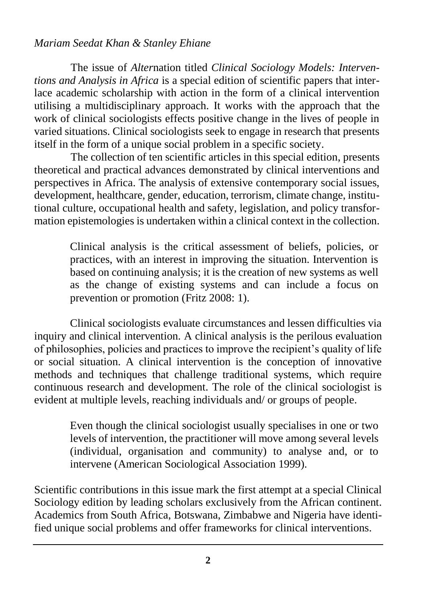## *Mariam Seedat Khan & Stanley Ehiane*

The issue of *Alter*nation titled *Clinical Sociology Models: Interventions and Analysis in Africa* is a special edition of scientific papers that interlace academic scholarship with action in the form of a clinical intervention utilising a multidisciplinary approach. It works with the approach that the work of clinical sociologists effects positive change in the lives of people in varied situations. Clinical sociologists seek to engage in research that presents itself in the form of a unique social problem in a specific society.

The collection of ten scientific articles in this special edition, presents theoretical and practical advances demonstrated by clinical interventions and perspectives in Africa. The analysis of extensive contemporary social issues, development, healthcare, gender, education, terrorism, climate change, institutional culture, occupational health and safety, legislation, and policy transformation epistemologies is undertaken within a clinical context in the collection.

> Clinical analysis is the critical assessment of beliefs, policies, or practices, with an interest in improving the situation. Intervention is based on continuing analysis; it is the creation of new systems as well as the change of existing systems and can include a focus on prevention or promotion (Fritz 2008: 1).

Clinical sociologists evaluate circumstances and lessen difficulties via inquiry and clinical intervention. A clinical analysis is the perilous evaluation of philosophies, policies and practices to improve the recipient's quality of life or social situation. A clinical intervention is the conception of innovative methods and techniques that challenge traditional systems, which require continuous research and development. The role of the clinical sociologist is evident at multiple levels, reaching individuals and/ or groups of people.

> Even though the clinical sociologist usually specialises in one or two levels of intervention, the practitioner will move among several levels (individual, organisation and community) to analyse and, or to intervene (American Sociological Association 1999).

Scientific contributions in this issue mark the first attempt at a special Clinical Sociology edition by leading scholars exclusively from the African continent. Academics from South Africa, Botswana, Zimbabwe and Nigeria have identified unique social problems and offer frameworks for clinical interventions.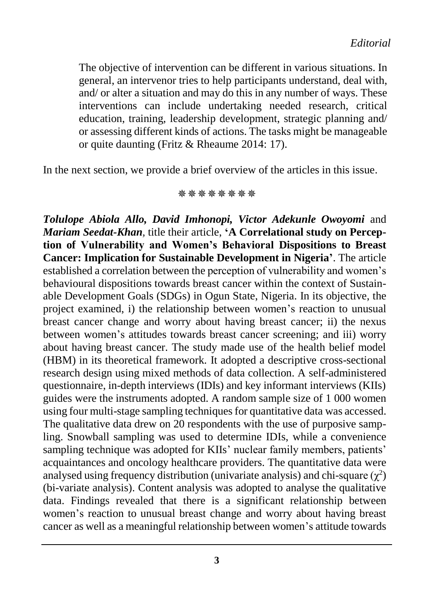The objective of intervention can be different in various situations. In general, an intervenor tries to help participants understand, deal with, and/ or alter a situation and may do this in any number of ways. These interventions can include undertaking needed research, critical education, training, leadership development, strategic planning and/ or assessing different kinds of actions. The tasks might be manageable or quite daunting (Fritz & Rheaume 2014: 17).

In the next section, we provide a brief overview of the articles in this issue.

**\*\*\*\*\*\*\*\*** 

*Tolulope Abiola Allo, David Imhonopi, Victor Adekunle Owoyomi* and *Mariam Seedat-Khan,* title their article, **'A Correlational study on Perception of Vulnerability and Women's Behavioral Dispositions to Breast Cancer: Implication for Sustainable Development in Nigeria'**. The article established a correlation between the perception of vulnerability and women's behavioural dispositions towards breast cancer within the context of Sustainable Development Goals (SDGs) in Ogun State, Nigeria. In its objective, the project examined, i) the relationship between women's reaction to unusual breast cancer change and worry about having breast cancer; ii) the nexus between women's attitudes towards breast cancer screening; and iii) worry about having breast cancer. The study made use of the health belief model (HBM) in its theoretical framework. It adopted a descriptive cross-sectional research design using mixed methods of data collection. A self-administered questionnaire, in-depth interviews (IDIs) and key informant interviews (KIIs) guides were the instruments adopted. A random sample size of 1 000 women using four multi-stage sampling techniques for quantitative data was accessed. The qualitative data drew on 20 respondents with the use of purposive sampling. Snowball sampling was used to determine IDIs, while a convenience sampling technique was adopted for KIIs' nuclear family members, patients' acquaintances and oncology healthcare providers. The quantitative data were analysed using frequency distribution (univariate analysis) and chi-square  $(\chi^2)$ (bi-variate analysis). Content analysis was adopted to analyse the qualitative data. Findings revealed that there is a significant relationship between women's reaction to unusual breast change and worry about having breast cancer as well as a meaningful relationship between women's attitude towards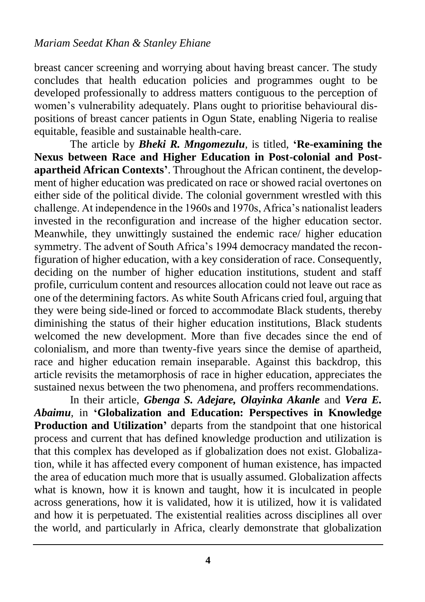breast cancer screening and worrying about having breast cancer. The study concludes that health education policies and programmes ought to be developed professionally to address matters contiguous to the perception of women's vulnerability adequately. Plans ought to prioritise behavioural dispositions of breast cancer patients in Ogun State, enabling Nigeria to realise equitable, feasible and sustainable health-care.

The article by *Bheki R. Mngomezulu,* is titled, **'Re-examining the Nexus between Race and Higher Education in Post-colonial and Postapartheid African Contexts'**. Throughout the African continent, the development of higher education was predicated on race or showed racial overtones on either side of the political divide. The colonial government wrestled with this challenge. At independence in the 1960s and 1970s, Africa's nationalist leaders invested in the reconfiguration and increase of the higher education sector. Meanwhile, they unwittingly sustained the endemic race/ higher education symmetry. The advent of South Africa's 1994 democracy mandated the reconfiguration of higher education, with a key consideration of race. Consequently, deciding on the number of higher education institutions, student and staff profile, curriculum content and resources allocation could not leave out race as one of the determining factors. As white South Africans cried foul, arguing that they were being side-lined or forced to accommodate Black students, thereby diminishing the status of their higher education institutions, Black students welcomed the new development. More than five decades since the end of colonialism, and more than twenty-five years since the demise of apartheid, race and higher education remain inseparable. Against this backdrop, this article revisits the metamorphosis of race in higher education, appreciates the sustained nexus between the two phenomena, and proffers recommendations.

In their article, *Gbenga S. Adejare, Olayinka Akanle* and *Vera E. Abaimu,* in **'Globalization and Education: Perspectives in Knowledge Production and Utilization'** departs from the standpoint that one historical process and current that has defined knowledge production and utilization is that this complex has developed as if globalization does not exist. Globalization, while it has affected every component of human existence, has impacted the area of education much more that is usually assumed. Globalization affects what is known, how it is known and taught, how it is inculcated in people across generations, how it is validated, how it is utilized, how it is validated and how it is perpetuated. The existential realities across disciplines all over the world, and particularly in Africa, clearly demonstrate that globalization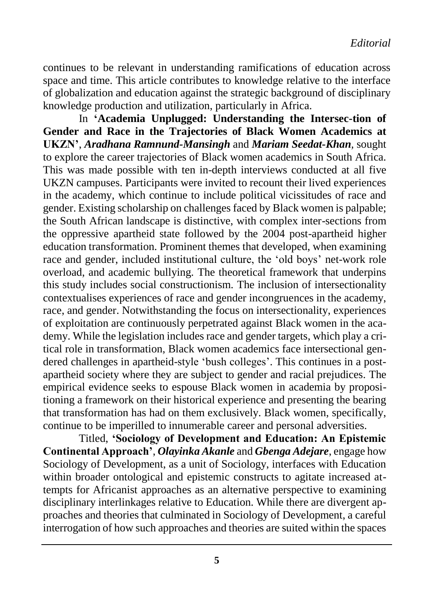continues to be relevant in understanding ramifications of education across space and time. This article contributes to knowledge relative to the interface of globalization and education against the strategic background of disciplinary knowledge production and utilization, particularly in Africa.

In **'Academia Unplugged: Understanding the Intersec-tion of Gender and Race in the Trajectories of Black Women Academics at UKZN'**, *Aradhana Ramnund-Mansingh* and *Mariam Seedat-Khan,* sought to explore the career trajectories of Black women academics in South Africa. This was made possible with ten in-depth interviews conducted at all five UKZN campuses. Participants were invited to recount their lived experiences in the academy, which continue to include political vicissitudes of race and gender. Existing scholarship on challenges faced by Black women is palpable; the South African landscape is distinctive, with complex inter-sections from the oppressive apartheid state followed by the 2004 post-apartheid higher education transformation. Prominent themes that developed, when examining race and gender, included institutional culture, the 'old boys' net-work role overload, and academic bullying. The theoretical framework that underpins this study includes social constructionism. The inclusion of intersectionality contextualises experiences of race and gender incongruences in the academy, race, and gender. Notwithstanding the focus on intersectionality, experiences of exploitation are continuously perpetrated against Black women in the academy. While the legislation includes race and gender targets, which play a critical role in transformation, Black women academics face intersectional gendered challenges in apartheid-style 'bush colleges'. This continues in a postapartheid society where they are subject to gender and racial prejudices. The empirical evidence seeks to espouse Black women in academia by propositioning a framework on their historical experience and presenting the bearing that transformation has had on them exclusively. Black women, specifically, continue to be imperilled to innumerable career and personal adversities.

Titled, **'Sociology of Development and Education: An Epistemic Continental Approach'**, *Olayinka Akanle* and *Gbenga Adejare*, engage how Sociology of Development, as a unit of Sociology, interfaces with Education within broader ontological and epistemic constructs to agitate increased attempts for Africanist approaches as an alternative perspective to examining disciplinary interlinkages relative to Education. While there are divergent approaches and theories that culminated in Sociology of Development, a careful interrogation of how such approaches and theories are suited within the spaces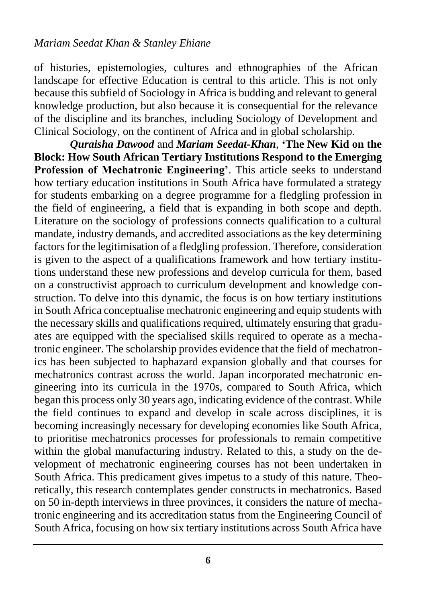of histories, epistemologies, cultures and ethnographies of the African landscape for effective Education is central to this article. This is not only because this subfield of Sociology in Africa is budding and relevant to general knowledge production, but also because it is consequential for the relevance of the discipline and its branches, including Sociology of Development and Clinical Sociology, on the continent of Africa and in global scholarship.

*Quraisha Dawood* and *Mariam Seedat-Khan,* **'The New Kid on the Block: How South African Tertiary Institutions Respond to the Emerging Profession of Mechatronic Engineering'**. This article seeks to understand how tertiary education institutions in South Africa have formulated a strategy for students embarking on a degree programme for a fledgling profession in the field of engineering, a field that is expanding in both scope and depth. Literature on the sociology of professions connects qualification to a cultural mandate, industry demands, and accredited associations as the key determining factors for the legitimisation of a fledgling profession. Therefore, consideration is given to the aspect of a qualifications framework and how tertiary institutions understand these new professions and develop curricula for them, based on a constructivist approach to curriculum development and knowledge construction. To delve into this dynamic, the focus is on how tertiary institutions in South Africa conceptualise mechatronic engineering and equip students with the necessary skills and qualifications required, ultimately ensuring that graduates are equipped with the specialised skills required to operate as a mechatronic engineer. The scholarship provides evidence that the field of mechatronics has been subjected to haphazard expansion globally and that courses for mechatronics contrast across the world. Japan incorporated mechatronic engineering into its curricula in the 1970s, compared to South Africa, which began this process only 30 years ago, indicating evidence of the contrast. While the field continues to expand and develop in scale across disciplines, it is becoming increasingly necessary for developing economies like South Africa, to prioritise mechatronics processes for professionals to remain competitive within the global manufacturing industry. Related to this, a study on the development of mechatronic engineering courses has not been undertaken in South Africa. This predicament gives impetus to a study of this nature. Theoretically, this research contemplates gender constructs in mechatronics. Based on 50 in-depth interviews in three provinces, it considers the nature of mechatronic engineering and its accreditation status from the Engineering Council of South Africa, focusing on how six tertiary institutions across South Africa have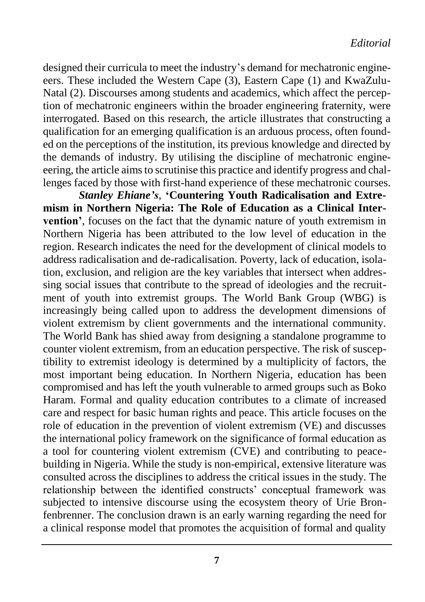designed their curricula to meet the industry's demand for mechatronic engineeers. These included the Western Cape (3), Eastern Cape (1) and KwaZulu-Natal (2). Discourses among students and academics, which affect the perception of mechatronic engineers within the broader engineering fraternity, were interrogated. Based on this research, the article illustrates that constructing a qualification for an emerging qualification is an arduous process, often founded on the perceptions of the institution, its previous knowledge and directed by the demands of industry. By utilising the discipline of mechatronic engineeering, the article aims to scrutinise this practice and identify progress and challenges faced by those with first-hand experience of these mechatronic courses.

*Stanley Ehiane's,* **'Countering Youth Radicalisation and Extremism in Northern Nigeria: The Role of Education as a Clinical Intervention'**, focuses on the fact that the dynamic nature of youth extremism in Northern Nigeria has been attributed to the low level of education in the region. Research indicates the need for the development of clinical models to address radicalisation and de-radicalisation. Poverty, lack of education, isolation, exclusion, and religion are the key variables that intersect when addressing social issues that contribute to the spread of ideologies and the recruitment of youth into extremist groups. The World Bank Group (WBG) is increasingly being called upon to address the development dimensions of violent extremism by client governments and the international community. The World Bank has shied away from designing a standalone programme to counter violent extremism, from an education perspective. The risk of susceptibility to extremist ideology is determined by a multiplicity of factors, the most important being education. In Northern Nigeria, education has been compromised and has left the youth vulnerable to armed groups such as Boko Haram. Formal and quality education contributes to a climate of increased care and respect for basic human rights and peace. This article focuses on the role of education in the prevention of violent extremism (VE) and discusses the international policy framework on the significance of formal education as a tool for countering violent extremism (CVE) and contributing to peacebuilding in Nigeria. While the study is non-empirical, extensive literature was consulted across the disciplines to address the critical issues in the study. The relationship between the identified constructs' conceptual framework was subjected to intensive discourse using the ecosystem theory of Urie Bronfenbrenner. The conclusion drawn is an early warning regarding the need for a clinical response model that promotes the acquisition of formal and quality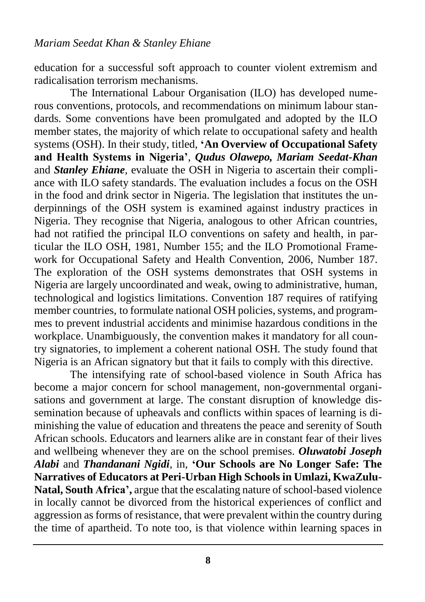education for a successful soft approach to counter violent extremism and radicalisation terrorism mechanisms.

The International Labour Organisation (ILO) has developed numerous conventions, protocols, and recommendations on minimum labour standards. Some conventions have been promulgated and adopted by the ILO member states, the majority of which relate to occupational safety and health systems (OSH). In their study, titled, **'An Overview of Occupational Safety and Health Systems in Nigeria'**, *Qudus Olawepo, Mariam Seedat-Khan*  and *Stanley Ehiane,* evaluate the OSH in Nigeria to ascertain their compliance with ILO safety standards. The evaluation includes a focus on the OSH in the food and drink sector in Nigeria. The legislation that institutes the underpinnings of the OSH system is examined against industry practices in Nigeria. They recognise that Nigeria, analogous to other African countries, had not ratified the principal ILO conventions on safety and health, in particular the ILO OSH, 1981, Number 155; and the ILO Promotional Framework for Occupational Safety and Health Convention, 2006, Number 187. The exploration of the OSH systems demonstrates that OSH systems in Nigeria are largely uncoordinated and weak, owing to administrative, human, technological and logistics limitations. Convention 187 requires of ratifying member countries, to formulate national OSH policies, systems, and programmes to prevent industrial accidents and minimise hazardous conditions in the workplace. Unambiguously, the convention makes it mandatory for all country signatories, to implement a coherent national OSH. The study found that Nigeria is an African signatory but that it fails to comply with this directive.

The intensifying rate of school-based violence in South Africa has become a major concern for school management, non-governmental organisations and government at large. The constant disruption of knowledge dissemination because of upheavals and conflicts within spaces of learning is diminishing the value of education and threatens the peace and serenity of South African schools. Educators and learners alike are in constant fear of their lives and wellbeing whenever they are on the school premises. *Oluwatobi Joseph Alabi* and *Thandanani Ngidi*, in, **'Our Schools are No Longer Safe: The Narratives of Educators at Peri-Urban High Schools in Umlazi, KwaZulu-Natal, South Africa',** argue that the escalating nature of school-based violence in locally cannot be divorced from the historical experiences of conflict and aggression as forms of resistance, that were prevalent within the country during the time of apartheid. To note too, is that violence within learning spaces in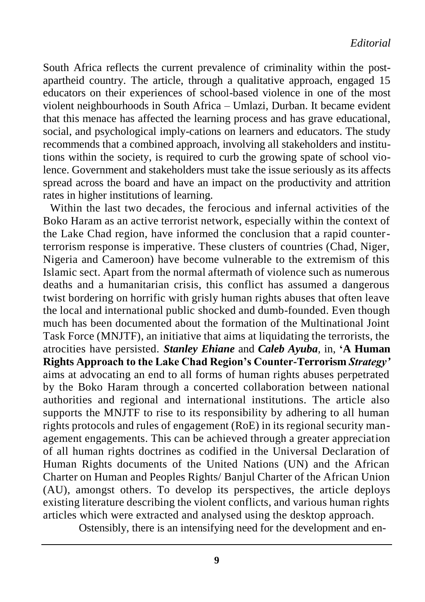South Africa reflects the current prevalence of criminality within the postapartheid country. The article, through a qualitative approach, engaged 15 educators on their experiences of school-based violence in one of the most violent neighbourhoods in South Africa – Umlazi, Durban. It became evident that this menace has affected the learning process and has grave educational, social, and psychological imply-cations on learners and educators. The study recommends that a combined approach, involving all stakeholders and institutions within the society, is required to curb the growing spate of school violence. Government and stakeholders must take the issue seriously as its affects spread across the board and have an impact on the productivity and attrition rates in higher institutions of learning.

Within the last two decades, the ferocious and infernal activities of the Boko Haram as an active terrorist network, especially within the context of the Lake Chad region, have informed the conclusion that a rapid counterterrorism response is imperative. These clusters of countries (Chad, Niger, Nigeria and Cameroon) have become vulnerable to the extremism of this Islamic sect. Apart from the normal aftermath of violence such as numerous deaths and a humanitarian crisis, this conflict has assumed a dangerous twist bordering on horrific with grisly human rights abuses that often leave the local and international public shocked and dumb-founded. Even though much has been documented about the formation of the Multinational Joint Task Force (MNJTF), an initiative that aims at liquidating the terrorists, the atrocities have persisted. *Stanley Ehiane* and *Caleb Ayuba,* in, **'A Human Rights Approach to the Lake Chad Region's Counter-Terrorism** *Strategy'* aims at advocating an end to all forms of human rights abuses perpetrated by the Boko Haram through a concerted collaboration between national authorities and regional and international institutions. The article also supports the MNJTF to rise to its responsibility by adhering to all human rights protocols and rules of engagement (RoE) in its regional security management engagements. This can be achieved through a greater appreciation of all human rights doctrines as codified in the Universal Declaration of Human Rights documents of the United Nations (UN) and the African Charter on Human and Peoples Rights/ Banjul Charter of the African Union (AU), amongst others. To develop its perspectives, the article deploys existing literature describing the violent conflicts, and various human rights articles which were extracted and analysed using the desktop approach.

Ostensibly, there is an intensifying need for the development and en-